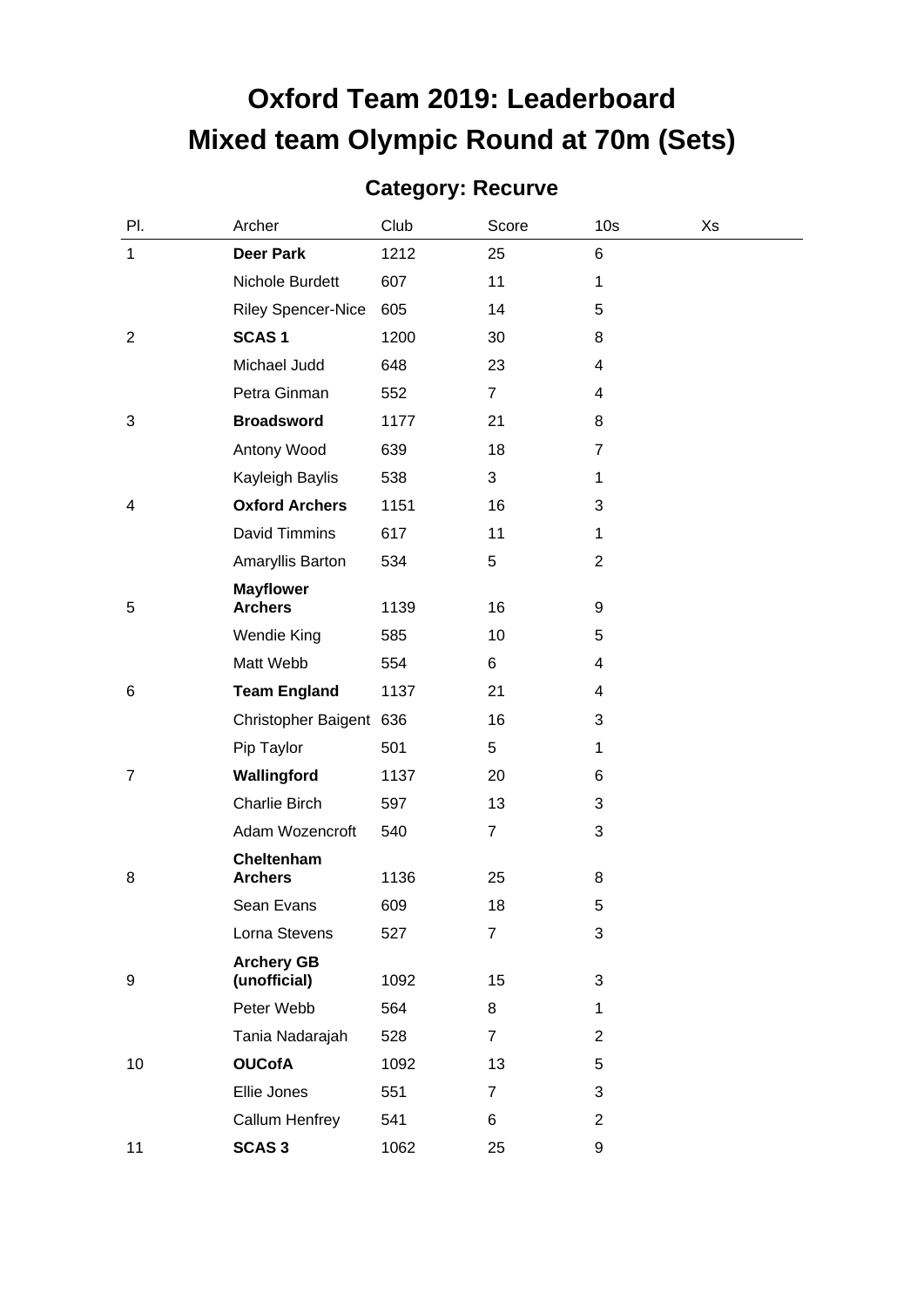# **Oxford Team 2019: Leaderboard Mixed team Olympic Round at 70m (Sets)**

#### **Category: Recurve**

| PI.            | Archer                             | Club | Score          | 10 <sub>s</sub> | Xs |
|----------------|------------------------------------|------|----------------|-----------------|----|
| 1              | <b>Deer Park</b>                   | 1212 | 25             | 6               |    |
|                | Nichole Burdett                    | 607  | 11             | 1               |    |
|                | <b>Riley Spencer-Nice</b>          | 605  | 14             | 5               |    |
| $\overline{2}$ | <b>SCAS1</b>                       | 1200 | 30             | 8               |    |
|                | Michael Judd                       | 648  | 23             | 4               |    |
|                | Petra Ginman                       | 552  | $\overline{7}$ | 4               |    |
| 3              | <b>Broadsword</b>                  | 1177 | 21             | 8               |    |
|                | Antony Wood                        | 639  | 18             | $\overline{7}$  |    |
|                | Kayleigh Baylis                    | 538  | 3              | 1               |    |
| 4              | <b>Oxford Archers</b>              | 1151 | 16             | 3               |    |
|                | David Timmins                      | 617  | 11             | 1               |    |
|                | Amaryllis Barton                   | 534  | 5              | $\overline{2}$  |    |
| 5              | <b>Mayflower</b><br><b>Archers</b> | 1139 | 16             | 9               |    |
|                | Wendie King                        | 585  | 10             | 5               |    |
|                | Matt Webb                          | 554  | 6              | 4               |    |
| 6              | <b>Team England</b>                | 1137 | 21             | 4               |    |
|                | Christopher Baigent 636            |      | 16             | 3               |    |
|                | Pip Taylor                         | 501  | 5              | 1               |    |
| $\overline{7}$ | Wallingford                        | 1137 | 20             | 6               |    |
|                | Charlie Birch                      | 597  | 13             | 3               |    |
|                | Adam Wozencroft                    | 540  | $\overline{7}$ | 3               |    |
| 8              | Cheltenham<br><b>Archers</b>       | 1136 | 25             | 8               |    |
|                | Sean Evans                         | 609  | 18             | 5               |    |
|                | Lorna Stevens                      | 527  | 7              | 3               |    |
| 9              | <b>Archery GB</b><br>(unofficial)  | 1092 | 15             | 3               |    |
|                | Peter Webb                         | 564  | 8              | 1               |    |
|                | Tania Nadarajah                    | 528  | $\overline{7}$ | $\overline{2}$  |    |
| 10             | <b>OUCofA</b>                      | 1092 | 13             | 5               |    |
|                | Ellie Jones                        | 551  | 7              | 3               |    |
|                | Callum Henfrey                     | 541  | 6              | 2               |    |
| 11             | <b>SCAS3</b>                       | 1062 | 25             | 9               |    |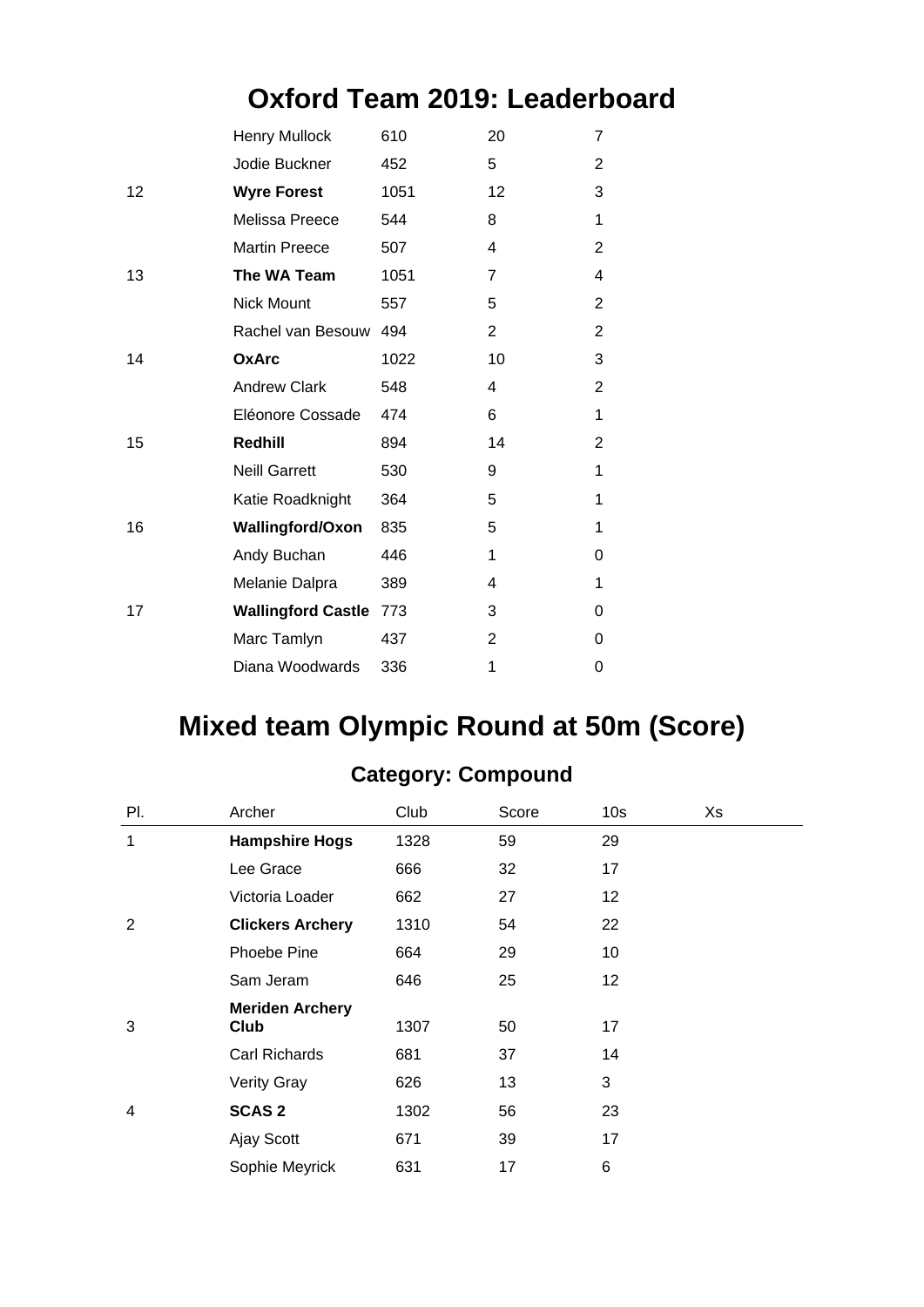### **Oxford Team 2019: Leaderboard**

| <b>Henry Mullock</b>    | 610  | 20                                             | 7              |
|-------------------------|------|------------------------------------------------|----------------|
| Jodie Buckner           | 452  | 5                                              | 2              |
| <b>Wyre Forest</b>      | 1051 | 12                                             | 3              |
| Melissa Preece          | 544  | 8                                              | 1              |
| <b>Martin Preece</b>    | 507  | 4                                              | 2              |
| The WA Team             | 1051 | $\overline{7}$                                 | 4              |
| <b>Nick Mount</b>       | 557  | 5                                              | $\overline{2}$ |
|                         | 494  | $\overline{2}$                                 | $\overline{2}$ |
| <b>OxArc</b>            | 1022 | 10                                             | 3              |
| <b>Andrew Clark</b>     | 548  | 4                                              | $\overline{2}$ |
| Eléonore Cossade        | 474  | 6                                              | 1              |
| Redhill                 | 894  | 14                                             | $\overline{2}$ |
| <b>Neill Garrett</b>    | 530  | 9                                              | 1              |
| Katie Roadknight        | 364  | 5                                              | 1              |
| <b>Wallingford/Oxon</b> | 835  | 5                                              | 1              |
| Andy Buchan             | 446  | 1                                              | 0              |
| Melanie Dalpra          | 389  | 4                                              | 1              |
|                         | 773  | 3                                              | 0              |
| Marc Tamlyn             | 437  | $\overline{2}$                                 | 0              |
| Diana Woodwards         | 336  | 1                                              | 0              |
|                         |      | Rachel van Besouw<br><b>Wallingford Castle</b> |                |

## **Mixed team Olympic Round at 50m (Score)**

| PI. | Archer                  | Club | Score | 10 <sub>s</sub> | Xs |
|-----|-------------------------|------|-------|-----------------|----|
| 1   | <b>Hampshire Hogs</b>   | 1328 | 59    | 29              |    |
|     | Lee Grace               | 666  | 32    | 17              |    |
|     | Victoria Loader         | 662  | 27    | 12              |    |
| 2   | <b>Clickers Archery</b> | 1310 | 54    | 22              |    |
|     | Phoebe Pine             | 664  | 29    | 10              |    |
|     | Sam Jeram               | 646  | 25    | 12              |    |
|     | <b>Meriden Archery</b>  |      |       |                 |    |
| 3   | Club                    | 1307 | 50    | 17              |    |
|     | Carl Richards           | 681  | 37    | 14              |    |
|     | <b>Verity Gray</b>      | 626  | 13    | 3               |    |
| 4   | <b>SCAS 2</b>           | 1302 | 56    | 23              |    |
|     | Ajay Scott              | 671  | 39    | 17              |    |
|     | Sophie Meyrick          | 631  | 17    | 6               |    |

#### **Category: Compound**